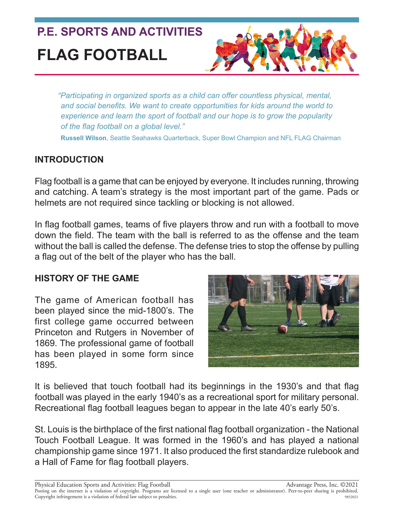# **P.E. SPORTS AND ACTIVITIES FLAG FOOTBALL**



*"Participating in organized sports as a child can offer countless physical, mental, and social benefits. We want to create opportunities for kids around the world to experience and learn the sport of football and our hope is to grow the popularity of the flag football on a global level."*

**Russell Wilson**, Seattle Seahawks Quarterback, Super Bowl Champion and NFL FLAG Chairman

# **INTRODUCTION**

Flag football is a game that can be enjoyed by everyone. It includes running, throwing and catching. A team's strategy is the most important part of the game. Pads or helmets are not required since tackling or blocking is not allowed.

In flag football games, teams of five players throw and run with a football to move down the field. The team with the ball is referred to as the offense and the team without the ball is called the defense. The defense tries to stop the offense by pulling a flag out of the belt of the player who has the ball.

### **HISTORY OF THE GAME**

The game of American football has been played since the mid-1800's. The first college game occurred between Princeton and Rutgers in November of 1869. The professional game of football has been played in some form since 1895.



It is believed that touch football had its beginnings in the 1930's and that flag football was played in the early 1940's as a recreational sport for military personal. Recreational flag football leagues began to appear in the late 40's early 50's.

St. Louis is the birthplace of the first national flag football organization - the National Touch Football League. It was formed in the 1960's and has played a national championship game since 1971. It also produced the first standardize rulebook and a Hall of Fame for flag football players.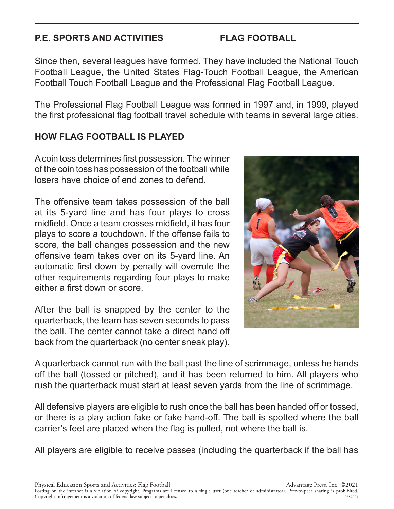### **P.E. SPORTS AND ACTIVITIES FLAG FOOTBALL**

Since then, several leagues have formed. They have included the National Touch Football League, the United States Flag-Touch Football League, the American Football Touch Football League and the Professional Flag Football League.

The Professional Flag Football League was formed in 1997 and, in 1999, played the first professional flag football travel schedule with teams in several large cities.

## **HOW FLAG FOOTBALL IS PLAYED**

A coin toss determines first possession. The winner of the coin toss has possession of the football while losers have choice of end zones to defend.

The offensive team takes possession of the ball at its 5-yard line and has four plays to cross midfield. Once a team crosses midfield, it has four plays to score a touchdown. If the offense fails to score, the ball changes possession and the new offensive team takes over on its 5-yard line. An automatic first down by penalty will overrule the other requirements regarding four plays to make either a first down or score.

After the ball is snapped by the center to the quarterback, the team has seven seconds to pass the ball. The center cannot take a direct hand off back from the quarterback (no center sneak play).



A quarterback cannot run with the ball past the line of scrimmage, unless he hands off the ball (tossed or pitched), and it has been returned to him. All players who rush the quarterback must start at least seven yards from the line of scrimmage.

All defensive players are eligible to rush once the ball has been handed off or tossed, or there is a play action fake or fake hand-off. The ball is spotted where the ball carrier's feet are placed when the flag is pulled, not where the ball is.

All players are eligible to receive passes (including the quarterback if the ball has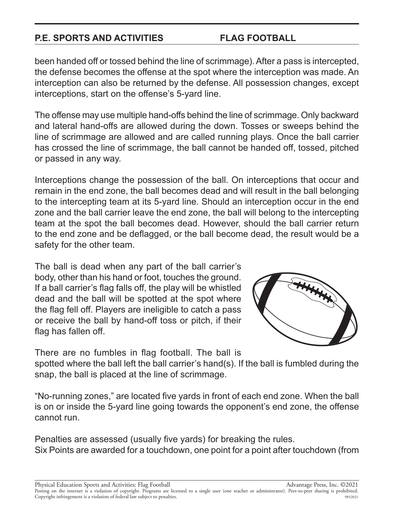### **P.E. SPORTS AND ACTIVITIES FLAG FOOTBALL**

been handed off or tossed behind the line of scrimmage). After a pass is intercepted, the defense becomes the offense at the spot where the interception was made. An interception can also be returned by the defense. All possession changes, except interceptions, start on the offense's 5-yard line.

The offense may use multiple hand-offs behind the line of scrimmage. Only backward and lateral hand-offs are allowed during the down. Tosses or sweeps behind the line of scrimmage are allowed and are called running plays. Once the ball carrier has crossed the line of scrimmage, the ball cannot be handed off, tossed, pitched or passed in any way.

Interceptions change the possession of the ball. On interceptions that occur and remain in the end zone, the ball becomes dead and will result in the ball belonging to the intercepting team at its 5-yard line. Should an interception occur in the end zone and the ball carrier leave the end zone, the ball will belong to the intercepting team at the spot the ball becomes dead. However, should the ball carrier return to the end zone and be deflagged, or the ball become dead, the result would be a safety for the other team.

The ball is dead when any part of the ball carrier's body, other than his hand or foot, touches the ground. If a ball carrier's flag falls off, the play will be whistled dead and the ball will be spotted at the spot where the flag fell off. Players are ineligible to catch a pass or receive the ball by hand-off toss or pitch, if their flag has fallen off.





There are no fumbles in flag football. The ball is

spotted where the ball left the ball carrier's hand(s). If the ball is fumbled during the snap, the ball is placed at the line of scrimmage.

"No-running zones," are located five yards in front of each end zone. When the ball is on or inside the 5-yard line going towards the opponent's end zone, the offense cannot run.

Penalties are assessed (usually five yards) for breaking the rules. Six Points are awarded for a touchdown, one point for a point after touchdown (from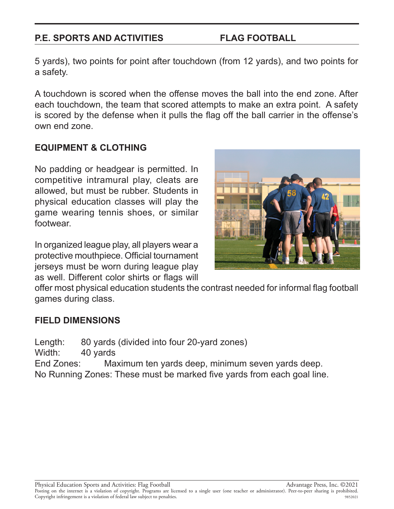### **P.E. SPORTS AND ACTIVITIES FLAG FOOTBALL**

5 yards), two points for point after touchdown (from 12 yards), and two points for a safety.

A touchdown is scored when the offense moves the ball into the end zone. After each touchdown, the team that scored attempts to make an extra point. A safety is scored by the defense when it pulls the flag off the ball carrier in the offense's own end zone.

## **EQUIPMENT & CLOTHING**

No padding or headgear is permitted. In competitive intramural play, cleats are allowed, but must be rubber. Students in physical education classes will play the game wearing tennis shoes, or similar footwear.

In organized league play, all players wear a protective mouthpiece. Official tournament jerseys must be worn during league play as well. Different color shirts or flags will



offer most physical education students the contrast needed for informal flag football games during class.

### **FIELD DIMENSIONS**

Length: 80 yards (divided into four 20-yard zones)

Width: 40 yards

End Zones: Maximum ten yards deep, minimum seven yards deep. No Running Zones: These must be marked five yards from each goal line.